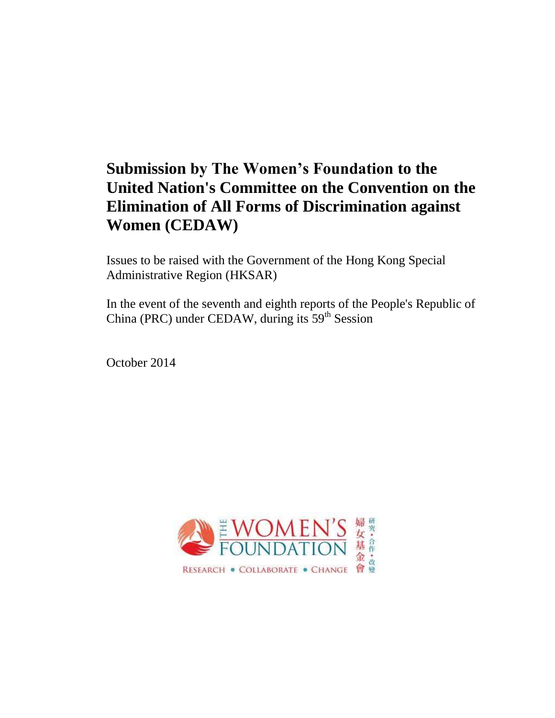# **Submission by The Women's Foundation to the United Nation's Committee on the Convention on the Elimination of All Forms of Discrimination against Women (CEDAW)**

Issues to be raised with the Government of the Hong Kong Special Administrative Region (HKSAR)

In the event of the seventh and eighth reports of the People's Republic of China (PRC) under CEDAW, during its  $59<sup>th</sup>$  Session

October 2014

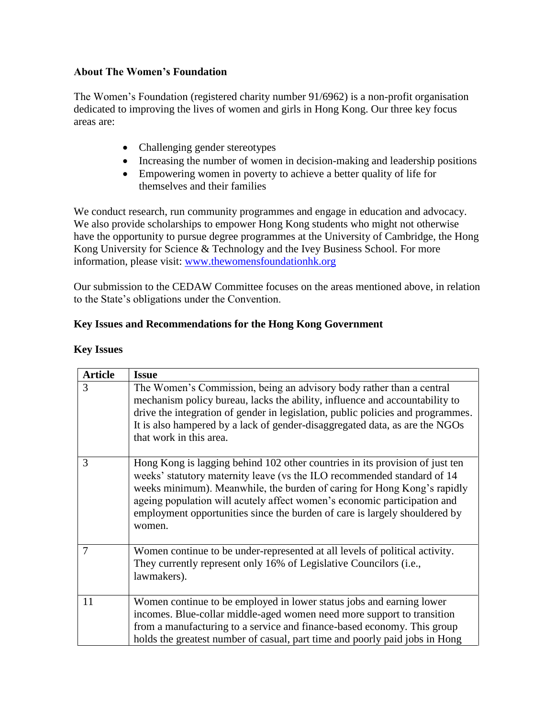#### **About The Women's Foundation**

The Women's Foundation (registered charity number 91/6962) is a non-profit organisation dedicated to improving the lives of women and girls in Hong Kong. Our three key focus areas are:

- Challenging gender stereotypes
- Increasing the number of women in decision-making and leadership positions
- Empowering women in poverty to achieve a better quality of life for themselves and their families

We conduct research, run community programmes and engage in education and advocacy. We also provide scholarships to empower Hong Kong students who might not otherwise have the opportunity to pursue degree programmes at the University of Cambridge, the Hong Kong University for Science & Technology and the Ivey Business School. For more information, please visit: [www.thewomensfoundationhk.org](http://www.thewomensfoundationhk.org/)

Our submission to the CEDAW Committee focuses on the areas mentioned above, in relation to the State's obligations under the Convention.

#### **Key Issues and Recommendations for the Hong Kong Government**

| <b>Article</b> | <b>Issue</b>                                                                                                                                                                                                                                                                                                                                                                                           |
|----------------|--------------------------------------------------------------------------------------------------------------------------------------------------------------------------------------------------------------------------------------------------------------------------------------------------------------------------------------------------------------------------------------------------------|
| 3              | The Women's Commission, being an advisory body rather than a central<br>mechanism policy bureau, lacks the ability, influence and accountability to<br>drive the integration of gender in legislation, public policies and programmes.<br>It is also hampered by a lack of gender-disaggregated data, as are the NGOs<br>that work in this area.                                                       |
| 3              | Hong Kong is lagging behind 102 other countries in its provision of just ten<br>weeks' statutory maternity leave (vs the ILO recommended standard of 14<br>weeks minimum). Meanwhile, the burden of caring for Hong Kong's rapidly<br>ageing population will acutely affect women's economic participation and<br>employment opportunities since the burden of care is largely shouldered by<br>women. |
| 7              | Women continue to be under-represented at all levels of political activity.<br>They currently represent only 16% of Legislative Councilors ( <i>i.e.</i> ,<br>lawmakers).                                                                                                                                                                                                                              |
| 11             | Women continue to be employed in lower status jobs and earning lower<br>incomes. Blue-collar middle-aged women need more support to transition<br>from a manufacturing to a service and finance-based economy. This group<br>holds the greatest number of casual, part time and poorly paid jobs in Hong                                                                                               |

#### **Key Issues**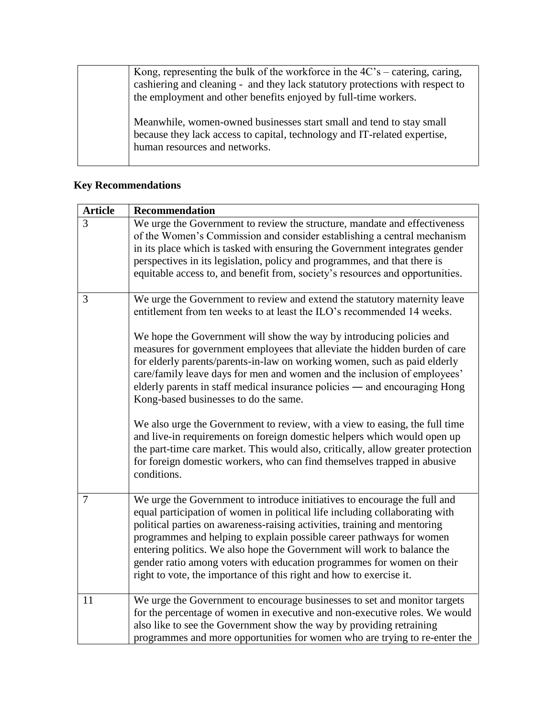Kong, representing the bulk of the workforce in the 4C's – catering, caring, cashiering and cleaning - and they lack statutory protections with respect to the employment and other benefits enjoyed by full-time workers.

Meanwhile, women-owned businesses start small and tend to stay small because they lack access to capital, technology and IT-related expertise, human resources and networks.

#### **Key Recommendations**

| <b>Article</b> | <b>Recommendation</b>                                                                                                                                                                                                                                                                                                                                                                                                                                                                                                                                                                     |
|----------------|-------------------------------------------------------------------------------------------------------------------------------------------------------------------------------------------------------------------------------------------------------------------------------------------------------------------------------------------------------------------------------------------------------------------------------------------------------------------------------------------------------------------------------------------------------------------------------------------|
| 3              | We urge the Government to review the structure, mandate and effectiveness<br>of the Women's Commission and consider establishing a central mechanism<br>in its place which is tasked with ensuring the Government integrates gender<br>perspectives in its legislation, policy and programmes, and that there is<br>equitable access to, and benefit from, society's resources and opportunities.                                                                                                                                                                                         |
| 3              | We urge the Government to review and extend the statutory maternity leave<br>entitlement from ten weeks to at least the ILO's recommended 14 weeks.<br>We hope the Government will show the way by introducing policies and<br>measures for government employees that alleviate the hidden burden of care<br>for elderly parents/parents-in-law on working women, such as paid elderly<br>care/family leave days for men and women and the inclusion of employees'<br>elderly parents in staff medical insurance policies — and encouraging Hong<br>Kong-based businesses to do the same. |
|                | We also urge the Government to review, with a view to easing, the full time<br>and live-in requirements on foreign domestic helpers which would open up<br>the part-time care market. This would also, critically, allow greater protection<br>for foreign domestic workers, who can find themselves trapped in abusive<br>conditions.                                                                                                                                                                                                                                                    |
| $\overline{7}$ | We urge the Government to introduce initiatives to encourage the full and<br>equal participation of women in political life including collaborating with<br>political parties on awareness-raising activities, training and mentoring<br>programmes and helping to explain possible career pathways for women<br>entering politics. We also hope the Government will work to balance the<br>gender ratio among voters with education programmes for women on their<br>right to vote, the importance of this right and how to exercise it.                                                 |
| 11             | We urge the Government to encourage businesses to set and monitor targets<br>for the percentage of women in executive and non-executive roles. We would<br>also like to see the Government show the way by providing retraining<br>programmes and more opportunities for women who are trying to re-enter the                                                                                                                                                                                                                                                                             |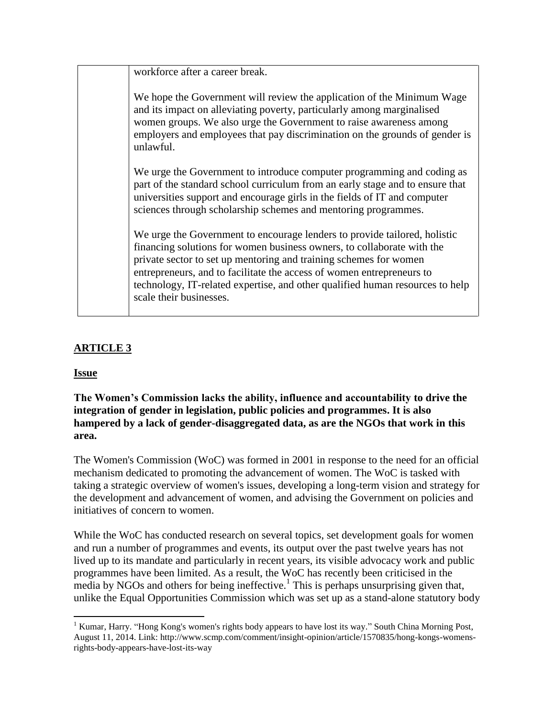workforce after a career break.

We hope the Government will review the application of the Minimum Wage and its impact on alleviating poverty, particularly among marginalised women groups. We also urge the Government to raise awareness among employers and employees that pay discrimination on the grounds of gender is unlawful.

We urge the Government to introduce computer programming and coding as part of the standard school curriculum from an early stage and to ensure that universities support and encourage girls in the fields of IT and computer sciences through scholarship schemes and mentoring programmes.

We urge the Government to encourage lenders to provide tailored, holistic financing solutions for women business owners, to collaborate with the private sector to set up mentoring and training schemes for women entrepreneurs, and to facilitate the access of women entrepreneurs to technology, IT-related expertise, and other qualified human resources to help scale their businesses.

# **ARTICLE 3**

#### **Issue**

**The Women's Commission lacks the ability, influence and accountability to drive the integration of gender in legislation, public policies and programmes. It is also hampered by a lack of gender-disaggregated data, as are the NGOs that work in this area.**

The Women's Commission (WoC) was formed in 2001 in response to the need for an official mechanism dedicated to promoting the advancement of women. The WoC is tasked with taking a strategic overview of women's issues, developing a long-term vision and strategy for the development and advancement of women, and advising the Government on policies and initiatives of concern to women.

While the WoC has conducted research on several topics, set development goals for women and run a number of programmes and events, its output over the past twelve years has not lived up to its mandate and particularly in recent years, its visible advocacy work and public programmes have been limited. As a result, the WoC has recently been criticised in the  $\frac{1}{2}$  media by NGOs and others for being ineffective.<sup>1</sup> This is perhaps unsurprising given that, unlike the Equal Opportunities Commission which was set up as a stand-alone statutory body

 $\overline{\phantom{a}}$ <sup>1</sup> Kumar, Harry. "Hong Kong's women's rights body appears to have lost its way." South China Morning Post, August 11, 2014. Link: http://www.scmp.com/comment/insight-opinion/article/1570835/hong-kongs-womensrights-body-appears-have-lost-its-way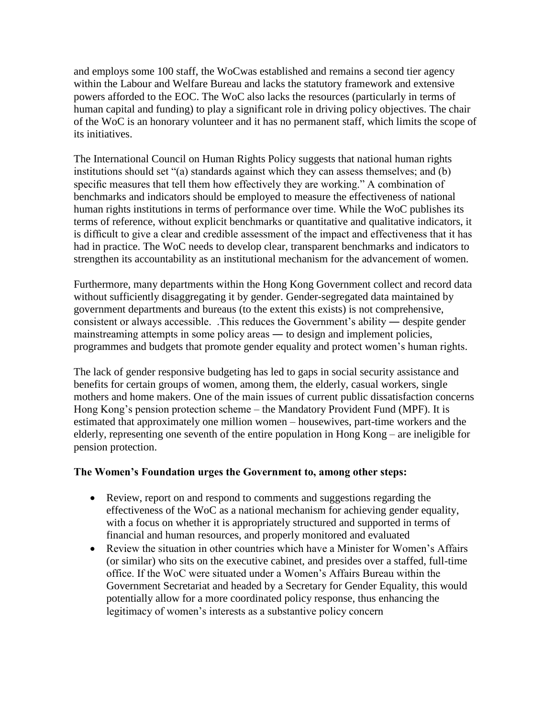and employs some 100 staff, the WoCwas established and remains a second tier agency within the Labour and Welfare Bureau and lacks the statutory framework and extensive powers afforded to the EOC. The WoC also lacks the resources (particularly in terms of human capital and funding) to play a significant role in driving policy objectives. The chair of the WoC is an honorary volunteer and it has no permanent staff, which limits the scope of its initiatives.

The International Council on Human Rights Policy suggests that national human rights institutions should set "(a) standards against which they can assess themselves; and (b) specific measures that tell them how effectively they are working." A combination of benchmarks and indicators should be employed to measure the effectiveness of national human rights institutions in terms of performance over time. While the WoC publishes its terms of reference, without explicit benchmarks or quantitative and qualitative indicators, it is difficult to give a clear and credible assessment of the impact and effectiveness that it has had in practice. The WoC needs to develop clear, transparent benchmarks and indicators to strengthen its accountability as an institutional mechanism for the advancement of women.

Furthermore, many departments within the Hong Kong Government collect and record data without sufficiently disaggregating it by gender. Gender-segregated data maintained by government departments and bureaus (to the extent this exists) is not comprehensive, consistent or always accessible. .This reduces the Government's ability ― despite gender mainstreaming attempts in some policy areas ― to design and implement policies, programmes and budgets that promote gender equality and protect women's human rights.

The lack of gender responsive budgeting has led to gaps in social security assistance and benefits for certain groups of women, among them, the elderly, casual workers, single mothers and home makers. One of the main issues of current public dissatisfaction concerns Hong Kong's pension protection scheme – the Mandatory Provident Fund (MPF). It is estimated that approximately one million women – housewives, part-time workers and the elderly, representing one seventh of the entire population in Hong Kong – are ineligible for pension protection.

#### **The Women's Foundation urges the Government to, among other steps:**

- Review, report on and respond to comments and suggestions regarding the effectiveness of the WoC as a national mechanism for achieving gender equality, with a focus on whether it is appropriately structured and supported in terms of financial and human resources, and properly monitored and evaluated
- Review the situation in other countries which have a Minister for Women's Affairs (or similar) who sits on the executive cabinet, and presides over a staffed, full-time office. If the WoC were situated under a Women's Affairs Bureau within the Government Secretariat and headed by a Secretary for Gender Equality, this would potentially allow for a more coordinated policy response, thus enhancing the legitimacy of women's interests as a substantive policy concern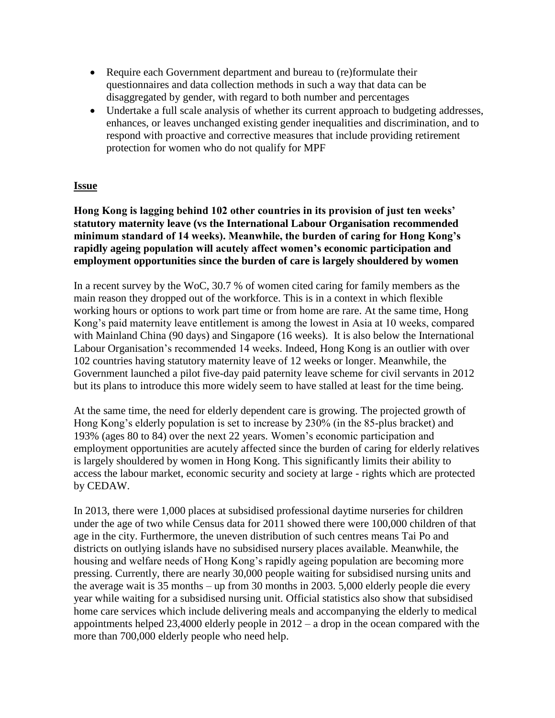- Require each Government department and bureau to (re)formulate their questionnaires and data collection methods in such a way that data can be disaggregated by gender, with regard to both number and percentages
- Undertake a full scale analysis of whether its current approach to budgeting addresses, enhances, or leaves unchanged existing gender inequalities and discrimination, and to respond with proactive and corrective measures that include providing retirement protection for women who do not qualify for MPF

#### **Issue**

**Hong Kong is lagging behind 102 other countries in its provision of just ten weeks' statutory maternity leave (vs the International Labour Organisation recommended minimum standard of 14 weeks). Meanwhile, the burden of caring for Hong Kong's rapidly ageing population will acutely affect women's economic participation and employment opportunities since the burden of care is largely shouldered by women**

In a recent survey by the WoC, 30.7 % of women cited caring for family members as the main reason they dropped out of the workforce. This is in a context in which flexible working hours or options to work part time or from home are rare. At the same time, Hong Kong's paid maternity leave entitlement is among the lowest in Asia at 10 weeks, compared with Mainland China (90 days) and Singapore (16 weeks). It is also below the International Labour Organisation's recommended 14 weeks. Indeed, Hong Kong is an outlier with over 102 countries having statutory maternity leave of 12 weeks or longer. Meanwhile, the Government launched a pilot five-day paid paternity leave scheme for civil servants in 2012 but its plans to introduce this more widely seem to have stalled at least for the time being.

At the same time, the need for elderly dependent care is growing. The projected growth of Hong Kong's elderly population is set to increase by 230% (in the 85-plus bracket) and 193% (ages 80 to 84) over the next 22 years. Women's economic participation and employment opportunities are acutely affected since the burden of caring for elderly relatives is largely shouldered by women in Hong Kong. This significantly limits their ability to access the labour market, economic security and society at large - rights which are protected by CEDAW.

In 2013, there were 1,000 places at subsidised professional daytime nurseries for children under the age of two while Census data for 2011 showed there were 100,000 children of that age in the city. Furthermore, the uneven distribution of such centres means Tai Po and districts on outlying islands have no subsidised nursery places available. Meanwhile, the housing and welfare needs of Hong Kong's rapidly ageing population are becoming more pressing. Currently, there are nearly 30,000 people waiting for subsidised nursing units and the average wait is 35 months – up from 30 months in 2003. 5,000 elderly people die every year while waiting for a subsidised nursing unit. Official statistics also show that subsidised home care services which include delivering meals and accompanying the elderly to medical appointments helped  $23,4000$  elderly people in  $2012 - a$  drop in the ocean compared with the more than 700,000 elderly people who need help.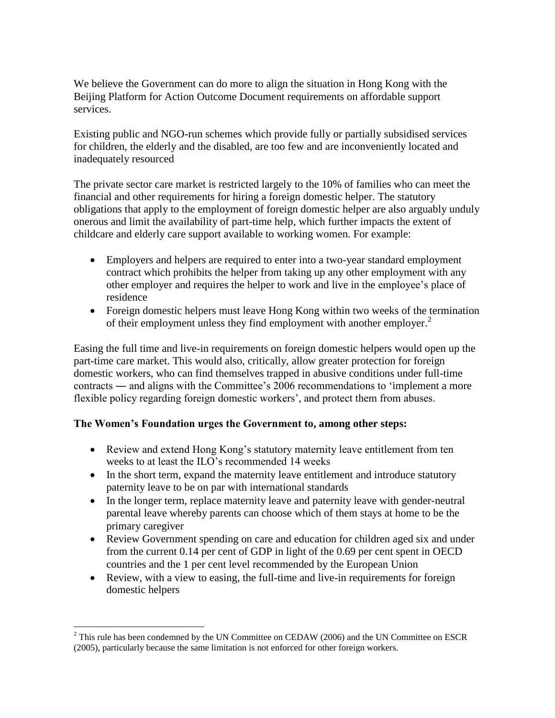We believe the Government can do more to align the situation in Hong Kong with the Beijing Platform for Action Outcome Document requirements on affordable support services.

Existing public and NGO-run schemes which provide fully or partially subsidised services for children, the elderly and the disabled, are too few and are inconveniently located and inadequately resourced

The private sector care market is restricted largely to the 10% of families who can meet the financial and other requirements for hiring a foreign domestic helper. The statutory obligations that apply to the employment of foreign domestic helper are also arguably unduly onerous and limit the availability of part-time help, which further impacts the extent of childcare and elderly care support available to working women. For example:

- Employers and helpers are required to enter into a two-year standard employment contract which prohibits the helper from taking up any other employment with any other employer and requires the helper to work and live in the employee's place of residence
- Foreign domestic helpers must leave Hong Kong within two weeks of the termination of their employment unless they find employment with another employer.<sup>2</sup>

Easing the full time and live-in requirements on foreign domestic helpers would open up the part-time care market. This would also, critically, allow greater protection for foreign domestic workers, who can find themselves trapped in abusive conditions under full-time contracts ― and aligns with the Committee's 2006 recommendations to 'implement a more flexible policy regarding foreign domestic workers', and protect them from abuses.

#### **The Women's Foundation urges the Government to, among other steps:**

- Review and extend Hong Kong's statutory maternity leave entitlement from ten weeks to at least the ILO's recommended 14 weeks
- In the short term, expand the maternity leave entitlement and introduce statutory paternity leave to be on par with international standards
- In the longer term, replace maternity leave and paternity leave with gender-neutral parental leave whereby parents can choose which of them stays at home to be the primary caregiver
- Review Government spending on care and education for children aged six and under from the current 0.14 per cent of GDP in light of the 0.69 per cent spent in OECD countries and the 1 per cent level recommended by the European Union
- Review, with a view to easing, the full-time and live-in requirements for foreign domestic helpers

 $\overline{\phantom{a}}$  $2$  This rule has been condemned by the UN Committee on CEDAW (2006) and the UN Committee on ESCR (2005), particularly because the same limitation is not enforced for other foreign workers.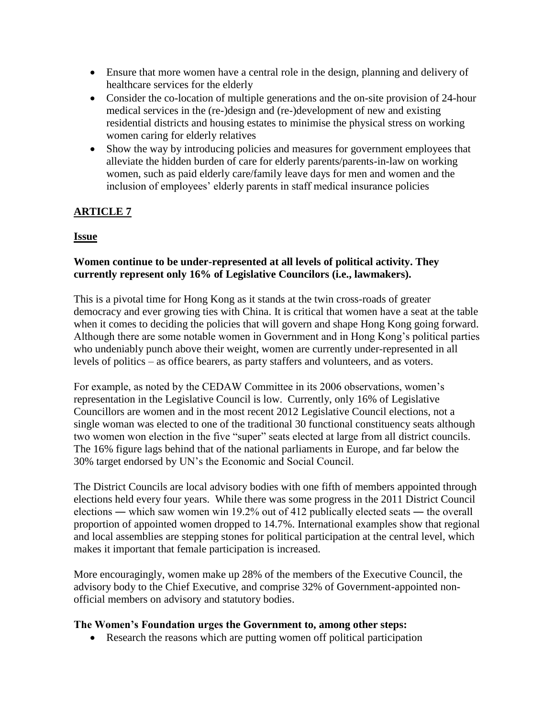- Ensure that more women have a central role in the design, planning and delivery of healthcare services for the elderly
- Consider the co-location of multiple generations and the on-site provision of 24-hour medical services in the (re-)design and (re-)development of new and existing residential districts and housing estates to minimise the physical stress on working women caring for elderly relatives
- Show the way by introducing policies and measures for government employees that alleviate the hidden burden of care for elderly parents/parents-in-law on working women, such as paid elderly care/family leave days for men and women and the inclusion of employees' elderly parents in staff medical insurance policies

# **ARTICLE 7**

# **Issue**

### **Women continue to be under-represented at all levels of political activity. They currently represent only 16% of Legislative Councilors (i.e., lawmakers).**

This is a pivotal time for Hong Kong as it stands at the twin cross-roads of greater democracy and ever growing ties with China. It is critical that women have a seat at the table when it comes to deciding the policies that will govern and shape Hong Kong going forward. Although there are some notable women in Government and in Hong Kong's political parties who undeniably punch above their weight, women are currently under-represented in all levels of politics – as office bearers, as party staffers and volunteers, and as voters.

For example, as noted by the CEDAW Committee in its 2006 observations, women's representation in the Legislative Council is low. Currently, only 16% of Legislative Councillors are women and in the most recent 2012 Legislative Council elections, not a single woman was elected to one of the traditional 30 functional constituency seats although two women won election in the five "super" seats elected at large from all district councils. The 16% figure lags behind that of the national parliaments in Europe, and far below the 30% target endorsed by UN's the Economic and Social Council.

The District Councils are local advisory bodies with one fifth of members appointed through elections held every four years. While there was some progress in the 2011 District Council elections ― which saw women win 19.2% out of 412 publically elected seats ― the overall proportion of appointed women dropped to 14.7%. International examples show that regional and local assemblies are stepping stones for political participation at the central level, which makes it important that female participation is increased.

More encouragingly, women make up 28% of the members of the Executive Council, the advisory body to the Chief Executive, and comprise 32% of Government-appointed nonofficial members on advisory and statutory bodies.

#### **The Women's Foundation urges the Government to, among other steps:**

Research the reasons which are putting women off political participation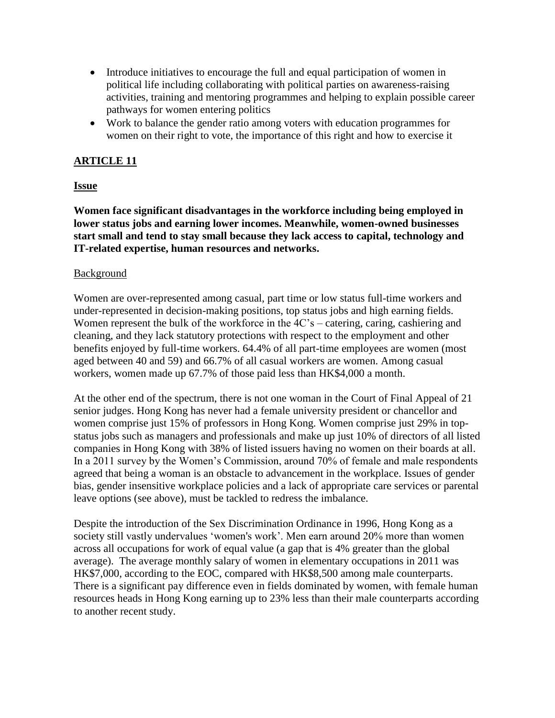- Introduce initiatives to encourage the full and equal participation of women in political life including collaborating with political parties on awareness-raising activities, training and mentoring programmes and helping to explain possible career pathways for women entering politics
- Work to balance the gender ratio among voters with education programmes for women on their right to vote, the importance of this right and how to exercise it

#### **ARTICLE 11**

#### **Issue**

**Women face significant disadvantages in the workforce including being employed in lower status jobs and earning lower incomes. Meanwhile, women-owned businesses start small and tend to stay small because they lack access to capital, technology and IT-related expertise, human resources and networks.**

#### Background

Women are over-represented among casual, part time or low status full-time workers and under-represented in decision-making positions, top status jobs and high earning fields. Women represent the bulk of the workforce in the 4C's – catering, caring, cashiering and cleaning, and they lack statutory protections with respect to the employment and other benefits enjoyed by full-time workers. 64.4% of all part-time employees are women (most aged between 40 and 59) and 66.7% of all casual workers are women. Among casual workers, women made up 67.7% of those paid less than HK\$4,000 a month.

At the other end of the spectrum, there is not one woman in the Court of Final Appeal of 21 senior judges. Hong Kong has never had a female university president or chancellor and women comprise just 15% of professors in Hong Kong. Women comprise just 29% in topstatus jobs such as managers and professionals and make up just 10% of directors of all listed companies in Hong Kong with 38% of listed issuers having no women on their boards at all. In a 2011 survey by the Women's Commission, around 70% of female and male respondents agreed that being a woman is an obstacle to advancement in the workplace. Issues of gender bias, gender insensitive workplace policies and a lack of appropriate care services or parental leave options (see above), must be tackled to redress the imbalance.

Despite the introduction of the Sex Discrimination Ordinance in 1996, Hong Kong as a society still vastly undervalues 'women's work'. Men earn around 20% more than women across all occupations for work of equal value (a gap that is 4% greater than the global average). The average monthly salary of women in elementary occupations in 2011 was HK\$7,000, according to the EOC, compared with HK\$8,500 among male counterparts. There is a significant pay difference even in fields dominated by women, with female human resources heads in Hong Kong earning up to 23% less than their male counterparts according to another recent study.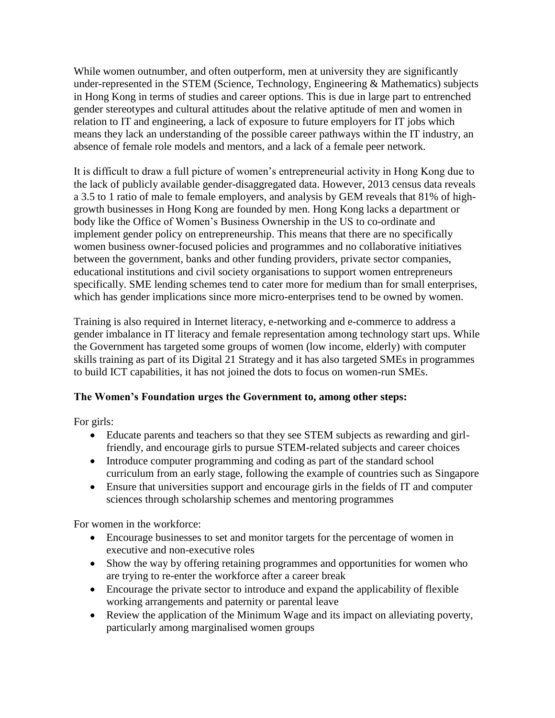While women outnumber, and often outperform, men at university they are significantly under-represented in the STEM (Science, Technology, Engineering & Mathematics) subjects in Hong Kong in terms of studies and career options. This is due in large part to entrenched gender stereotypes and cultural attitudes about the relative aptitude of men and women in relation to IT and engineering, a lack of exposure to future employers for IT jobs which means they lack an understanding of the possible career pathways within the IT industry, an absence of female role models and mentors, and a lack of a female peer network.

It is difficult to draw a full picture of women's entrepreneurial activity in Hong Kong due to the lack of publicly available gender-disaggregated data. However, 2013 census data reveals a 3.5 to 1 ratio of male to female employers, and analysis by GEM reveals that 81% of highgrowth businesses in Hong Kong are founded by men. Hong Kong lacks a department or body like the Office of Women's Business Ownership in the US to co-ordinate and implement gender policy on entrepreneurship. This means that there are no specifically women business owner-focused policies and programmes and no collaborative initiatives between the government, banks and other funding providers, private sector companies, educational institutions and civil society organisations to support women entrepreneurs specifically. SME lending schemes tend to cater more for medium than for small enterprises, which has gender implications since more micro-enterprises tend to be owned by women.

Training is also required in Internet literacy, e-networking and e-commerce to address a gender imbalance in IT literacy and female representation among technology start ups. While the Government has targeted some groups of women (low income, elderly) with computer skills training as part of its Digital 21 Strategy and it has also targeted SMEs in programmes to build ICT capabilities, it has not joined the dots to focus on women-run SMEs.

#### **The Women's Foundation urges the Government to, among other steps:**

For girls:

- Educate parents and teachers so that they see STEM subjects as rewarding and girlfriendly, and encourage girls to pursue STEM-related subjects and career choices
- Introduce computer programming and coding as part of the standard school curriculum from an early stage, following the example of countries such as Singapore
- Ensure that universities support and encourage girls in the fields of IT and computer sciences through scholarship schemes and mentoring programmes

For women in the workforce:

- Encourage businesses to set and monitor targets for the percentage of women in executive and non-executive roles
- Show the way by offering retaining programmes and opportunities for women who are trying to re-enter the workforce after a career break
- Encourage the private sector to introduce and expand the applicability of flexible working arrangements and paternity or parental leave
- Review the application of the Minimum Wage and its impact on alleviating poverty, particularly among marginalised women groups